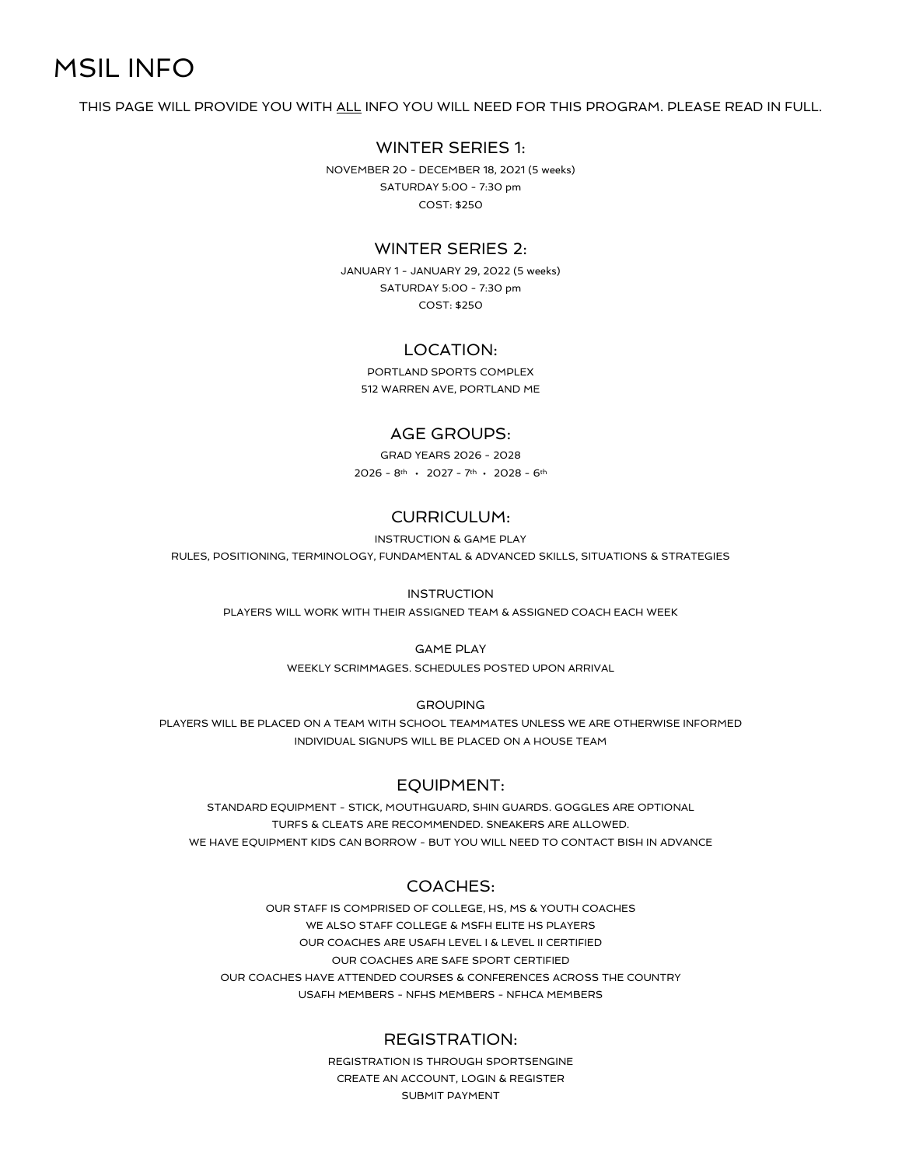# MSIL INFO

THIS PAGE WILL PROVIDE YOU WITH ALL INFO YOU WILL NEED FOR THIS PROGRAM. PLEASE READ IN FULL.

### WINTER SERIES 1:

NOVEMBER 20 - DECEMBER 18, 2021 (5 weeks) SATURDAY 5:00 - 7:30 pm COST: \$250

#### WINTER SERIES 2:

JANUARY 1 - JANUARY 29, 2022 (5 weeks) SATURDAY 5:00 - 7:30 pm COST: \$250

# LOCATION:

PORTLAND SPORTS COMPLEX 512 WARREN AVE, PORTLAND ME

### AGE GROUPS:

GRAD YEARS 2026 - 2028 2026 - 8<sup>th</sup> • 2027 - 7<sup>th</sup> • 2028 - 6<sup>th</sup>

# CURRICULUM:

INSTRUCTION & GAME PLAY

RULES, POSITIONING, TERMINOLOGY, FUNDAMENTAL & ADVANCED SKILLS, SITUATIONS & STRATEGIES

#### INSTRUCTION

PLAYERS WILL WORK WITH THEIR ASSIGNED TEAM & ASSIGNED COACH EACH WEEK

#### GAME PLAY

WEEKLY SCRIMMAGES. SCHEDULES POSTED UPON ARRIVAL

**GROUPING** 

PLAYERS WILL BE PLACED ON A TEAM WITH SCHOOL TEAMMATES UNLESS WE ARE OTHERWISE INFORMED INDIVIDUAL SIGNUPS WILL BE PLACED ON A HOUSE TEAM

#### EQUIPMENT:

STANDARD EQUIPMENT - STICK, MOUTHGUARD, SHIN GUARDS. GOGGLES ARE OPTIONAL TURFS & CLEATS ARE RECOMMENDED. SNEAKERS ARE ALLOWED. WE HAVE EQUIPMENT KIDS CAN BORROW - BUT YOU WILL NEED TO CONTACT BISH IN ADVANCE

#### COACHES:

OUR STAFF IS COMPRISED OF COLLEGE, HS, MS & YOUTH COACHES WE ALSO STAFF COLLEGE & MSFH ELITE HS PLAYERS OUR COACHES ARE USAFH LEVEL I & LEVEL II CERTIFIED OUR COACHES ARE SAFE SPORT CERTIFIED OUR COACHES HAVE ATTENDED COURSES & CONFERENCES ACROSS THE COUNTRY USAFH MEMBERS - NFHS MEMBERS - NFHCA MEMBERS

# REGISTRATION:

REGISTRATION IS THROUGH SPORTSENGINE CREATE AN ACCOUNT, LOGIN & REGISTER SUBMIT PAYMENT